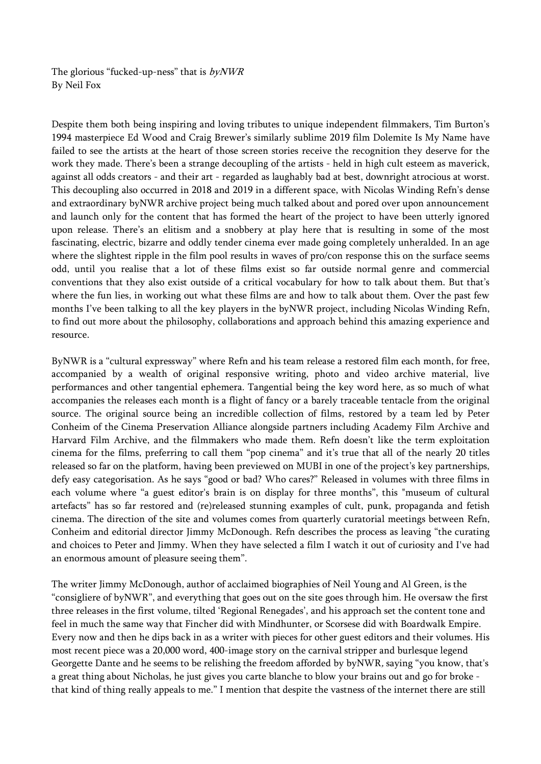The glorious "fucked-up-ness" that is  $byNWR$ By Neil Fox

Despite them both being inspiring and loving tributes to unique independent filmmakers, Tim Burton's 1994 masterpiece Ed Wood and Craig Brewer's similarly sublime 2019 film Dolemite Is My Name have failed to see the artists at the heart of those screen stories receive the recognition they deserve for the work they made. There's been a strange decoupling of the artists - held in high cult esteem as maverick, against all odds creators - and their art - regarded as laughably bad at best, downright atrocious at worst. This decoupling also occurred in 2018 and 2019 in a different space, with Nicolas Winding Refn's dense and extraordinary byNWR archive project being much talked about and pored over upon announcement and launch only for the content that has formed the heart of the project to have been utterly ignored upon release. There's an elitism and a snobbery at play here that is resulting in some of the most fascinating, electric, bizarre and oddly tender cinema ever made going completely unheralded. In an age where the slightest ripple in the film pool results in waves of pro/con response this on the surface seems odd, until you realise that a lot of these films exist so far outside normal genre and commercial conventions that they also exist outside of a critical vocabulary for how to talk about them. But that's where the fun lies, in working out what these films are and how to talk about them. Over the past few months I've been talking to all the key players in the byNWR project, including Nicolas Winding Refn, to find out more about the philosophy, collaborations and approach behind this amazing experience and resource.

ByNWR is a "cultural expressway" where Refn and his team release a restored film each month, for free, accompanied by a wealth of original responsive writing, photo and video archive material, live performances and other tangential ephemera. Tangential being the key word here, as so much of what accompanies the releases each month is a flight of fancy or a barely traceable tentacle from the original source. The original source being an incredible collection of films, restored by a team led by Peter Conheim of the Cinema Preservation Alliance alongside partners including Academy Film Archive and Harvard Film Archive, and the filmmakers who made them. Refn doesn't like the term exploitation cinema for the films, preferring to call them "pop cinema" and it's true that all of the nearly 20 titles released so far on the platform, having been previewed on MUBI in one of the project's key partnerships, defy easy categorisation. As he says "good or bad? Who cares?" Released in volumes with three films in each volume where "a guest editor's brain is on display for three months", this "museum of cultural artefacts" has so far restored and (re)released stunning examples of cult, punk, propaganda and fetish cinema. The direction of the site and volumes comes from quarterly curatorial meetings between Refn, Conheim and editorial director Jimmy McDonough. Refn describes the process as leaving "the curating and choices to Peter and Jimmy. When they have selected a film I watch it out of curiosity and I've had an enormous amount of pleasure seeing them".

The writer Jimmy McDonough, author of acclaimed biographies of Neil Young and Al Green, is the "consigliere of byNWR", and everything that goes out on the site goes through him. He oversaw the first three releases in the first volume, tilted 'Regional Renegades', and his approach set the content tone and feel in much the same way that Fincher did with Mindhunter, or Scorsese did with Boardwalk Empire. Every now and then he dips back in as a writer with pieces for other guest editors and their volumes. His most recent piece was a 20,000 word, 400-image story on the carnival stripper and burlesque legend Georgette Dante and he seems to be relishing the freedom afforded by byNWR, saying "you know, that's a great thing about Nicholas, he just gives you carte blanche to blow your brains out and go for broke that kind of thing really appeals to me." I mention that despite the vastness of the internet there are still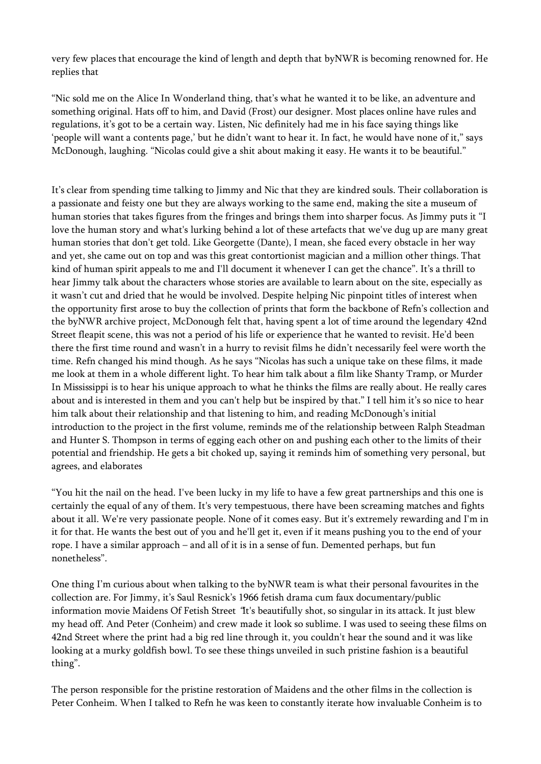very few places that encourage the kind of length and depth that byNWR is becoming renowned for. He replies that

"Nic sold me on the Alice In Wonderland thing, that's what he wanted it to be like, an adventure and something original. Hats off to him, and David (Frost) our designer. Most places online have rules and regulations, it's got to be a certain way. Listen, Nic definitely had me in his face saying things like 'people will want a contents page,' but he didn't want to hear it. In fact, he would have none of it," says McDonough, laughing. "Nicolas could give a shit about making it easy. He wants it to be beautiful."

It's clear from spending time talking to Jimmy and Nic that they are kindred souls. Their collaboration is a passionate and feisty one but they are always working to the same end, making the site a museum of human stories that takes figures from the fringes and brings them into sharper focus. As Jimmy puts it "I love the human story and what's lurking behind a lot of these artefacts that we've dug up are many great human stories that don't get told. Like Georgette (Dante), I mean, she faced every obstacle in her way and yet, she came out on top and was this great contortionist magician and a million other things. That kind of human spirit appeals to me and I'll document it whenever I can get the chance". It's a thrill to hear Jimmy talk about the characters whose stories are available to learn about on the site, especially as it wasn't cut and dried that he would be involved. Despite helping Nic pinpoint titles of interest when the opportunity first arose to buy the collection of prints that form the backbone of Refn's collection and the byNWR archive project, McDonough felt that, having spent a lot of time around the legendary 42nd Street fleapit scene, this was not a period of his life or experience that he wanted to revisit. He'd been there the first time round and wasn't in a hurry to revisit films he didn't necessarily feel were worth the time. Refn changed his mind though. As he says "Nicolas has such a unique take on these films, it made me look at them in a whole different light. To hear him talk about a film like Shanty Tramp, or Murder In Mississippi is to hear his unique approach to what he thinks the films are really about. He really cares about and is interested in them and you can't help but be inspired by that." I tell him it's so nice to hear him talk about their relationship and that listening to him, and reading McDonough's initial introduction to the project in the first volume, reminds me of the relationship between Ralph Steadman and Hunter S. Thompson in terms of egging each other on and pushing each other to the limits of their potential and friendship. He gets a bit choked up, saying it reminds him of something very personal, but agrees, and elaborates

"You hit the nail on the head. I've been lucky in my life to have a few great partnerships and this one is certainly the equal of any of them. It's very tempestuous, there have been screaming matches and fights about it all. We're very passionate people. None of it comes easy. But it's extremely rewarding and I'm in it for that. He wants the best out of you and he'll get it, even if it means pushing you to the end of your rope. I have a similar approach – and all of it is in a sense of fun. Demented perhaps, but fun nonetheless".

One thing I'm curious about when talking to the byNWR team is what their personal favourites in the collection are. For Jimmy, it's Saul Resnick's 1966 fetish drama cum faux documentary/public information movie Maidens Of Fetish Street "It's beautifully shot, so singular in its attack. It just blew my head off. And Peter (Conheim) and crew made it look so sublime. I was used to seeing these films on 42nd Street where the print had a big red line through it, you couldn't hear the sound and it was like looking at a murky goldfish bowl. To see these things unveiled in such pristine fashion is a beautiful thing".

The person responsible for the pristine restoration of Maidens and the other films in the collection is Peter Conheim. When I talked to Refn he was keen to constantly iterate how invaluable Conheim is to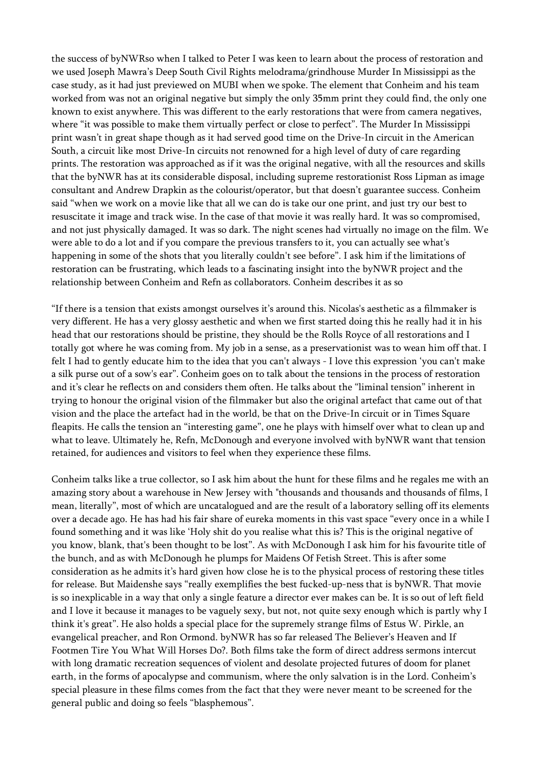the success of byNWRso when I talked to Peter I was keen to learn about the process of restoration and we used Joseph Mawra's Deep South Civil Rights melodrama/grindhouse Murder In Mississippi as the case study, as it had just previewed on MUBI when we spoke. The element that Conheim and his team worked from was not an original negative but simply the only 35mm print they could find, the only one known to exist anywhere. This was different to the early restorations that were from camera negatives, where "it was possible to make them virtually perfect or close to perfect". The Murder In Mississippi print wasn't in great shape though as it had served good time on the Drive-In circuit in the American South, a circuit like most Drive-In circuits not renowned for a high level of duty of care regarding prints. The restoration was approached as if it was the original negative, with all the resources and skills that the byNWR has at its considerable disposal, including supreme restorationist Ross Lipman as image consultant and Andrew Drapkin as the colourist/operator, but that doesn't guarantee success. Conheim said "when we work on a movie like that all we can do is take our one print, and just try our best to resuscitate it image and track wise. In the case of that movie it was really hard. It was so compromised, and not just physically damaged. It was so dark. The night scenes had virtually no image on the film. We were able to do a lot and if you compare the previous transfers to it, you can actually see what's happening in some of the shots that you literally couldn't see before". I ask him if the limitations of restoration can be frustrating, which leads to a fascinating insight into the byNWR project and the relationship between Conheim and Refn as collaborators. Conheim describes it as so

"If there is a tension that exists amongst ourselves it's around this. Nicolas's aesthetic as a filmmaker is very different. He has a very glossy aesthetic and when we first started doing this he really had it in his head that our restorations should be pristine, they should be the Rolls Royce of all restorations and I totally got where he was coming from. My job in a sense, as a preservationist was to wean him off that. I felt I had to gently educate him to the idea that you can't always - I love this expression 'you can't make a silk purse out of a sow's ear". Conheim goes on to talk about the tensions in the process of restoration and it's clear he reflects on and considers them often. He talks about the "liminal tension" inherent in trying to honour the original vision of the filmmaker but also the original artefact that came out of that vision and the place the artefact had in the world, be that on the Drive-In circuit or in Times Square fleapits. He calls the tension an "interesting game", one he plays with himself over what to clean up and what to leave. Ultimately he, Refn, McDonough and everyone involved with byNWR want that tension retained, for audiences and visitors to feel when they experience these films.

Conheim talks like a true collector, so I ask him about the hunt for these films and he regales me with an amazing story about a warehouse in New Jersey with "thousands and thousands and thousands of films, I mean, literally", most of which are uncatalogued and are the result of a laboratory selling off its elements over a decade ago. He has had his fair share of eureka moments in this vast space "every once in a while I found something and it was like 'Holy shit do you realise what this is? This is the original negative of you know, blank, that's been thought to be lost". As with McDonough I ask him for his favourite title of the bunch, and as with McDonough he plumps for Maidens Of Fetish Street. This is after some consideration as he admits it's hard given how close he is to the physical process of restoring these titles for release. But Maidenshe says "really exemplifies the best fucked-up-ness that is byNWR. That movie is so inexplicable in a way that only a single feature a director ever makes can be. It is so out of left field and I love it because it manages to be vaguely sexy, but not, not quite sexy enough which is partly why I think it's great". He also holds a special place for the supremely strange films of Estus W. Pirkle, an evangelical preacher, and Ron Ormond. byNWR has so far released The Believer's Heaven and If Footmen Tire You What Will Horses Do?. Both films take the form of direct address sermons intercut with long dramatic recreation sequences of violent and desolate projected futures of doom for planet earth, in the forms of apocalypse and communism, where the only salvation is in the Lord. Conheim's special pleasure in these films comes from the fact that they were never meant to be screened for the general public and doing so feels "blasphemous".